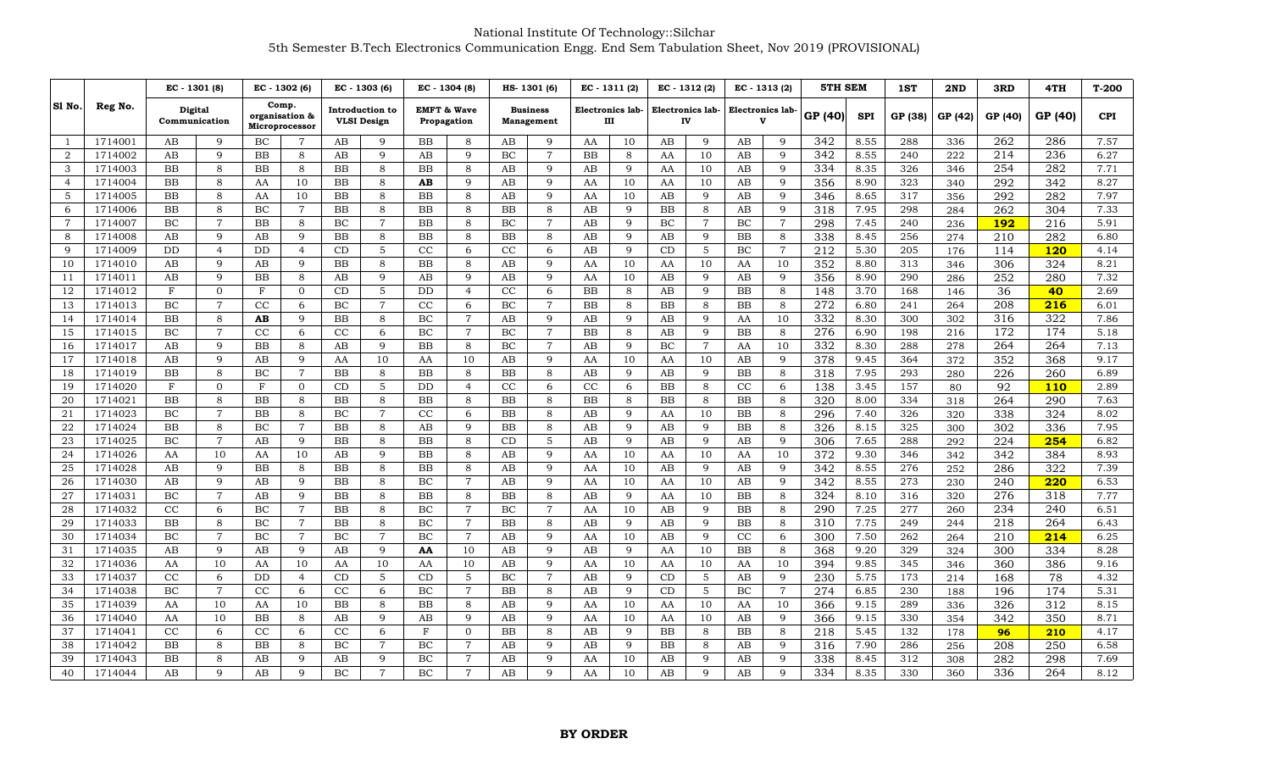|                |         | EC - 1301 (8)            |                | EC - 1302 (6) |                                           |           | EC - 1303 (6)                         |           | EC - 1304 (8)                         |           | HS-1301 (6)                          | $EC - 1311(2)$ |                       | $EC - 1312(2)$ |                        | EC - 1313 (2)                    |                | <b>5TH SEM</b> |            | 1ST     | 2ND     | 3RD              | 4TH        | $T-200$    |
|----------------|---------|--------------------------|----------------|---------------|-------------------------------------------|-----------|---------------------------------------|-----------|---------------------------------------|-----------|--------------------------------------|----------------|-----------------------|----------------|------------------------|----------------------------------|----------------|----------------|------------|---------|---------|------------------|------------|------------|
| SI No.         | Reg No. | Digital<br>Communication |                |               | Comp.<br>organisation &<br>Microprocessor |           | Introduction to<br><b>VLSI</b> Design |           | <b>EMFT &amp; Wave</b><br>Propagation |           | <b>Business</b><br><b>Management</b> |                | Electronics lab-<br>Ш |                | Electronics lab-<br>IV | Electronics lab-<br>$\mathbf{v}$ |                | GP (40)        | <b>SPI</b> | GP (38) | GP (42) | GP (40)          | GP (40)    | <b>CPI</b> |
| $\overline{1}$ | 1714001 | AB                       | 9              | BC            | 7                                         | AB        | 9                                     | <b>BB</b> | 8                                     | AB        | 9                                    | AA             | 10                    | AB             | 9                      | AB                               | 9              | 342            | 8.55       | 288     | 336     | 262              | 286        | 7.57       |
| 2              | 1714002 | AB                       | 9              | <b>BB</b>     | 8                                         | AB        | 9                                     | AB        | 9                                     | BC        | $\overline{7}$                       | <b>BB</b>      | 8                     | AA             | 10                     | AB                               | 9              | 342            | 8.55       | 240     | 222     | 214              | 236        | 6.27       |
| 3              | 1714003 | <b>BB</b>                | 8              | BB            | 8                                         | <b>BB</b> | 8                                     | <b>BB</b> | 8                                     | AB        | 9                                    | AB             | 9                     | AA             | 10                     | AB                               | 9              | 334            | 8.35       | 326     | 346     | 254              | 282        | 7.71       |
| $\overline{4}$ | 1714004 | <b>BB</b>                | 8              | AA            | 10                                        | <b>BB</b> | 8                                     | AB        | 9                                     | AB        | 9                                    | AA             | 10                    | AA             | 10                     | AB                               | 9              | 356            | 8.90       | 323     | 340     | 292              | 342        | 8.27       |
| 5              | 1714005 | <b>BB</b>                | 8              | AA            | 10                                        | <b>BB</b> | 8                                     | BB        | 8                                     | AB        | 9                                    | AA             | 10                    | AB             | 9                      | AB                               | 9              | 346            | 8.65       | 317     | 356     | 292              | 282        | 7.97       |
| 6              | 1714006 | <b>BB</b>                | 8              | BC            | $\overline{7}$                            | BB        | 8                                     | BB        | 8                                     | BB        | 8                                    | AB             | 9                     | BB             | 8                      | AB                               | 9              | 318            | 7.95       | 298     | 284     | 262              | 304        | 7.33       |
| $\overline{7}$ | 1714007 | BC                       | $\overline{7}$ | BB            | 8                                         | BC        | $\overline{7}$                        | BB        | 8                                     | BC        | $\overline{7}$                       | AB             | 9                     | BC             | $\overline{7}$         | BC                               | $\overline{7}$ | 298            | 7.45       | 240     | 236     | <b>192</b>       | 216        | 5.91       |
| 8              | 1714008 | AB                       | 9              | AB            | 9                                         | <b>BB</b> | 8                                     | BB        | 8                                     | <b>BB</b> | 8                                    | AB             | 9                     | AB             | 9                      | BB                               | 8              | 338            | 8.45       | 256     | 274     | 210              | 282        | 6.80       |
| 9              | 1714009 | <b>DD</b>                | $\overline{4}$ | DD            | $\overline{4}$                            | CD        | 5                                     | CC        | 6                                     | CC        | 6                                    | AB             | 9                     | CD             | 5                      | BC                               | $\overline{7}$ | 212            | 5.30       | 205     | 176     | 114              | 120        | 4.14       |
| 10             | 1714010 | AB                       | 9              | AB            | 9                                         | <b>BB</b> | 8                                     | <b>BB</b> | 8                                     | AB        | 9                                    | AA             | 10                    | AA             | 10                     | AA                               | 10             | 352            | 8.80       | 313     | 346     | 306              | 324        | 8.21       |
| 11             | 1714011 | AB                       | 9              | BB            | 8                                         | AB        | 9                                     | AB        | 9                                     | AB        | 9                                    | AA             | 10                    | AB             | 9                      | AB                               | 9              | 356            | 8.90       | 290     | 286     | 252              | 280        | 7.32       |
| 12             | 1714012 | F                        | $\overline{0}$ | $_{\rm F}$    | $\Omega$                                  | CD        | 5                                     | DD        | $\overline{4}$                        | CC        | 6                                    | <b>BB</b>      | 8                     | AB             | 9                      | BB                               | 8              | 148            | 3.70       | 168     | 146     | 36               | 40         | 2.69       |
| 13             | 1714013 | BC                       | $\overline{7}$ | CC            | 6                                         | BC        | $\overline{7}$                        | CC        | 6                                     | BC        | $\overline{7}$                       | BB             | 8                     | <b>BB</b>      | 8                      | BB                               | 8              | 272            | 6.80       | 241     | 264     | 208              | 216        | 6.01       |
| 14             | 1714014 | BB                       | 8              | AB            | 9                                         | BB        | 8                                     | BC        | $\overline{7}$                        | AB        | 9                                    | AB             | 9                     | AB             | 9                      | AA                               | 10             | 332            | 8.30       | 300     | 302     | 316              | 322        | 7.86       |
| 15             | 1714015 | BC                       | $\overline{7}$ | CC            | 6                                         | CC        | 6                                     | BC        | $\overline{7}$                        | BC        | $\overline{7}$                       | <b>BB</b>      | 8                     | AB             | 9                      | BB                               | 8              | 276            | 6.90       | 198     | 216     | 172              | 174        | 5.18       |
| 16             | 1714017 | AB                       | 9              | <b>BB</b>     | 8                                         | AB        | 9                                     | BB        | 8                                     | BC        | $\overline{7}$                       | AB             | 9                     | BC             | $\overline{7}$         | AA                               | 10             | 332            | 8.30       | 288     | 278     | 264              | 264        | 7.13       |
| 17             | 1714018 | AB                       | 9              | AB            | 9                                         | AA        | 10                                    | AA        | 10                                    | AB        | 9                                    | AA             | 10                    | AA             | 10                     | AB                               | 9              | 378            | 9.45       | 364     | 372     | 352              | 368        | 9.17       |
| 18             | 1714019 | <b>BB</b>                | 8              | BC            | $\overline{7}$                            | BB        | 8                                     | BB        | 8                                     | BB        | 8                                    | AB             | 9                     | AB             | 9                      | BB                               | 8              | 318            | 7.95       | 293     | 280     | 226              | 260        | 6.89       |
| 19             | 1714020 | $\mathbf{F}$             | $\Omega$       | $\mathbf{F}$  | $\mathbf{0}$                              | CD        | 5                                     | DD        | $\overline{4}$                        | CC        | 6                                    | CC             | 6                     | BB             | 8                      | CC                               | 6              | 138            | 3.45       | 157     | 80      | $\overline{92}$  | <b>110</b> | 2.89       |
| 20             | 1714021 | <b>BB</b>                | 8              | <b>BB</b>     | 8                                         | <b>BB</b> | 8                                     | <b>BB</b> | 8                                     | <b>BB</b> | 8                                    | <b>BB</b>      | 8                     | <b>BB</b>      | 8                      | <b>BB</b>                        | 8              | 320            | 8.00       | 334     | 318     | 264              | 290        | 7.63       |
| 21             | 1714023 | BC                       | $\overline{7}$ | <b>BB</b>     | 8                                         | BC        | $\overline{7}$                        | CC        | 6                                     | <b>BB</b> | 8                                    | AB             | 9                     | AA             | 10                     | <b>BB</b>                        | 8              | 296            | 7.40       | 326     | 320     | 338              | 324        | 8.02       |
| 22             | 1714024 | <b>BB</b>                | 8              | BC            | $\overline{7}$                            | <b>BB</b> | 8                                     | AB        | 9                                     | <b>BB</b> | 8                                    | AB             | 9                     | AB             | 9                      | <b>BB</b>                        | 8              | 326            | 8.15       | 325     | 300     | 302              | 336        | 7.95       |
| 23             | 1714025 | BC                       | $\overline{7}$ | AB            | 9                                         | BB        | 8                                     | BB        | 8                                     | CD        | 5                                    | AB             | 9                     | AB             | 9                      | AB                               | 9              | 306            | 7.65       | 288     | 292     | 224              | 254        | 6.82       |
| 24             | 1714026 | AA                       | 10             | AA            | 10                                        | AB        | 9                                     | BB        | 8                                     | AB        | 9                                    | AA             | 10                    | AA             | 10                     | AA                               | 10             | 372            | 9.30       | 346     | 342     | 342              | 384        | 8.93       |
| 25             | 1714028 | AB                       | 9              | BB            | 8                                         | BB        | 8                                     | BB        | 8                                     | AB        | 9                                    | AA             | 10                    | AB             | 9                      | AB                               | 9              | 342            | 8.55       | 276     | 252     | $\overline{286}$ | 322        | 7.39       |
| 26             | 1714030 | AB                       | 9              | AB            | 9                                         | <b>BB</b> | 8                                     | BC        | $\overline{7}$                        | AB        | 9                                    | AA             | 10                    | AA             | 10                     | AB                               | 9              | 342            | 8.55       | 273     | 230     | 240              | 220        | 6.53       |
| 27             | 1714031 | BC                       | $\overline{7}$ | AB            | 9                                         | <b>BB</b> | 8                                     | <b>BB</b> | 8                                     | BB        | 8                                    | AB             | 9                     | AA             | 10                     | BB                               | 8              | 324            | 8.10       | 316     | 320     | 276              | 318        | 7.77       |
| 28             | 1714032 | CC                       | 6              | BC            | $\overline{7}$                            | <b>BB</b> | 8                                     | BC        | $\overline{7}$                        | BC        | $\overline{7}$                       | AA             | 10                    | AB             | 9                      | BB                               | 8              | 290            | 7.25       | 277     | 260     | 234              | 240        | 6.51       |
| 29             | 1714033 | <b>BB</b>                | 8              | BC            | $\overline{7}$                            | <b>BB</b> | 8                                     | BC        | $\overline{7}$                        | BB        | 8                                    | AB             | 9                     | AB             | 9                      | BB                               | 8              | 310            | 7.75       | 249     | 244     | 218              | 264        | 6.43       |
| 30             | 1714034 | BC                       | $\overline{7}$ | BC            | $\overline{7}$                            | BC        | $\overline{7}$                        | BС        | $\overline{7}$                        | AB        | 9                                    | AA             | 10                    | AB             | 9                      | $_{\rm CC}$                      | 6              | 300            | 7.50       | 262     | 264     | 210              | 214        | 6.25       |
| 31             | 1714035 | AB                       | 9              | AB            | 9                                         | AB        | $\mathbf{Q}$                          | AA        | 10                                    | AB        | 9                                    | AB             | 9                     | AA             | 10                     | $_{\rm BB}$                      | 8              | 368            | 9.20       | 329     | 324     | 300              | 334        | 8.28       |
| 32             | 1714036 | AA                       | 10             | AA            | 10                                        | AA        | 10 <sup>1</sup>                       | AA        | 10                                    | AB        | $\mathbf Q$                          | AA             | 10                    | AA             | 10                     | AA                               | 10             | 394            | 9.85       | 345     | 346     | 360              | 386        | 9.16       |
| 33             | 1714037 | CC                       | 6              | DD            | $\overline{4}$                            | CD        | 5                                     | CD        | 5                                     | BC        | $\overline{7}$                       | AB             | 9                     | CD             | 5                      | AB                               | 9              | 230            | 5.75       | 173     | 214     | 168              | 78         | 4.32       |
| 34             | 1714038 | BC                       | $\overline{7}$ | CC            | 6                                         | CC        | 6                                     | BC        | $\overline{7}$                        | BB        | 8                                    | AB             | 9                     | CD             | 5                      | BC                               | 7              | 274            | 6.85       | 230     | 188     | 196              | 174        | 5.31       |
| 35             | 1714039 | AA                       | 10             | AA            | 10                                        | BB        | 8                                     | BB        | 8                                     | AB        | 9                                    | AA             | 10                    | AA             | 10                     | AA                               | 10             | 366            | 9.15       | 289     | 336     | 326              | 312        | 8.15       |
| 36             | 1714040 | AA                       | 10             | BB            | 8                                         | AB        | 9                                     | AB        | 9                                     | AB        | 9                                    | AA             | 10                    | AA             | 10                     | AB                               | 9              | 366            | 9.15       | 330     | 354     | 342              | 350        | 8.71       |
| 37             | 1714041 | CC                       | 6              | CC            | 6                                         | CC        | 6                                     | F         | $\Omega$                              | <b>BB</b> | 8                                    | AB             | 9                     | <b>BB</b>      | 8                      | <b>BB</b>                        | 8              | 218            | 5.45       | 132     | 178     | 96               | 210        | 4.17       |
| 38             | 1714042 | <b>BB</b>                | 8              | BB            | 8                                         | BC        | $\overline{7}$                        | BC        | $\overline{7}$                        | AB        | $\mathbf Q$                          | AB             | 9                     | BB             | 8                      | AB                               | 9              | 316            | 7.90       | 286     | 256     | 208              | 250        | 6.58       |
| 39             | 1714043 | <b>BB</b>                | 8              | AB            | 9                                         | AB        | 9                                     | BC        | $\overline{7}$                        | AB        | 9                                    | AA             | 10                    | AB             | 9                      | AB                               | 9              | 338            | 8.45       | 312     | 308     | 282              | 298        | 7.69       |
| 40             | 1714044 | AB                       | 9              | AB            | 9                                         | BC        | $\overline{7}$                        | BC        | 7                                     | AB        | 9                                    | AA             | 10                    | AB             | 9                      | AB                               | 9              | 334            | 8.35       | 330     | 360     | 336              | 264        | 8.12       |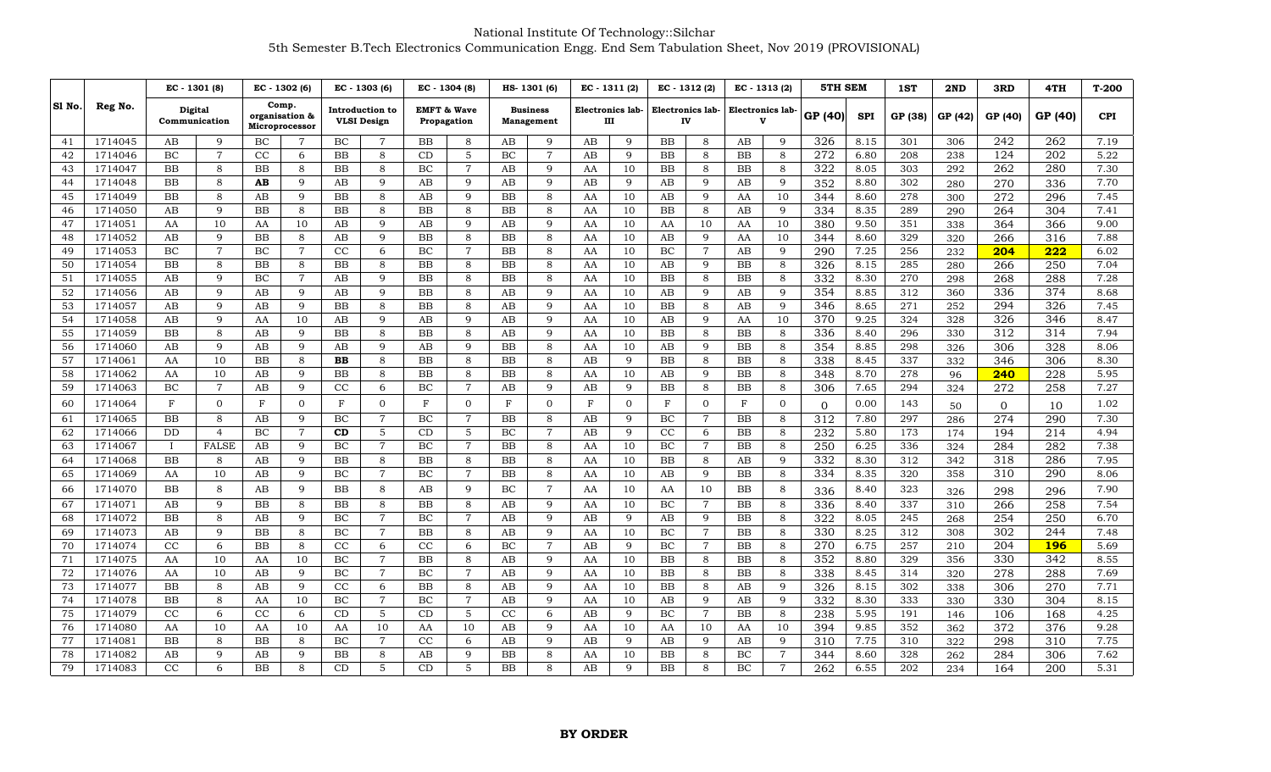|        |         | EC - 1301 (8)            |                      |                | EC - 1302 (6)           |                                       | EC - 1303 (6)  | EC - 1304 (8)                         |                     |                               | HS-1301 (6)    | $EC - 1311(2)$        |                | EC - 1312 (2)          |                | EC - 1313 (2)         |                | <b>5TH SEM</b> |            | 1ST        | 2ND     | 3RD              | 4TH     | $T-200$      |
|--------|---------|--------------------------|----------------------|----------------|-------------------------|---------------------------------------|----------------|---------------------------------------|---------------------|-------------------------------|----------------|-----------------------|----------------|------------------------|----------------|-----------------------|----------------|----------------|------------|------------|---------|------------------|---------|--------------|
| SI No. | Reg No. | Digital<br>Communication |                      | Microprocessor | Comp.<br>organisation & | Introduction to<br><b>VLSI</b> Design |                | <b>EMFT &amp; Wave</b><br>Propagation |                     | <b>Business</b><br>Management |                | Electronics lab-<br>ш |                | Electronics lab-<br>IV |                | Electronics lab-<br>v |                | GP (40)        | <b>SPI</b> | GP (38)    | GP (42) | GP (40)          | GP (40) | <b>CPI</b>   |
| 41     | 1714045 | AB                       | 9                    | BC             | $\overline{7}$          | ВC                                    | 7              | BB                                    | 8                   | AB                            | 9              | AB                    | 9              | BB                     | 8              | AB                    | 9              | 326            | 8.15       | 301        | 306     | 242              | 262     | 7.19         |
| 42     | 1714046 | BC                       | $\overline{7}$       | CC             | 6                       | <b>BB</b>                             | 8              | CD                                    | $5\phantom{.}$      | BC                            | $\overline{7}$ | AB                    | 9              | <b>BB</b>              | 8              | <b>BB</b>             | 8              | 272            | 6.80       | 208        | 238     | 124              | 202     | 5.22         |
| 43     | 1714047 | <b>BB</b>                | 8                    | <b>BB</b>      | 8                       | BB.                                   | 8              | BC                                    | $\overline{7}$      | AB                            | 9              | AA                    | 10             | BB                     | 8              | BB                    | 8              | 322            | 8.05       | 303        | 292     | 262              | 280     | 7.30         |
| 44     | 1714048 | BB                       | 8                    | AВ             | 9                       | AB                                    | 9              | AB                                    | 9                   | AB                            | 9              | AB                    | 9              | AB                     | 9              | AB                    | 9              | 352            | 8.80       | 302        | 280     | 270              | 336     | 7.70         |
| 45     | 1714049 | BB                       | 8                    | AB             | 9                       | BB                                    | 8              | AB                                    | 9                   | BB                            | 8              | AA                    | 10             | AB                     | 9              | AA                    | 10             | 344            | 8.60       | 278        | 300     | 272              | 296     | 7.45         |
| 46     | 1714050 | AB                       | 9                    | <b>BB</b>      | 8                       | BB                                    | 8              | <b>BB</b>                             | 8                   | <b>BB</b>                     | 8              | AA                    | 10             | <b>BB</b>              | 8              | AB                    | 9              | 334            | 8.35       | 289        | 290     | 264              | 304     | 7.41         |
| 47     | 1714051 | AA                       | 10                   | AA             | 10                      | AB                                    | 9              | AB                                    | 9                   | AB                            | 9              | AA                    | 10             | AA                     | 10             | AA                    | 10             | 380            | 9.50       | 351        | 338     | 364              | 366     | 9.00         |
| 48     | 1714052 | AB                       | 9                    | BB             | 8                       | AB                                    | 9              | BB                                    | 8                   | BB                            | 8              | AA                    | 10             | AB                     | 9              | AA                    | 10             | 344            | 8.60       | 329        | 320     | 266              | 316     | 7.88         |
| 49     | 1714053 | BC                       | $\overline{7}$       | BC             | $\overline{7}$          | CC                                    | 6              | BC                                    | $\overline{7}$      | <b>BB</b>                     | 8              | AA                    | 10             | BC                     | $\overline{7}$ | AB                    | 9              | 290            | 7.25       | 256        | 232     | 204              | 222     | 6.02         |
| 50     | 1714054 | BB                       | 8                    | BB             | 8                       | BB                                    | 8              | BB                                    | 8                   | BB                            | 8              | AA                    | 10             | AB                     | 9              | BB                    | 8              | 326            | 8.15       | 285        | 280     | 266              | 250     | 7.04         |
| 51     | 1714055 | AB                       | 9                    | BC             | $\overline{7}$          | AB                                    | 9              | BB                                    | 8                   | BB                            | 8              | AA                    | 10             | BB                     | 8              | BB                    | 8              | 332            | 8.30       | 270        | 298     | 268              | 288     | 7.28         |
| 52     | 1714056 | AB                       | $\mathbf Q$          | AB             | 9                       | AB                                    | 9              | BB                                    | 8                   | AB                            | 9              | AA                    | 10             | AB                     | 9              | AB                    | 9              | 354            | 8.85       | 312        | 360     | 336              | 374     | 8.68         |
| 53     | 1714057 | AB                       | $\mathbf{Q}$         | AB             | 9                       | BB                                    | 8              | BB                                    | 8                   | AB                            | 9              | AA                    | 10             | BB                     | 8              | AB                    | 9              | 346            | 8.65       | 271        | 252     | 294              | 326     | 7.45         |
| 54     | 1714058 | AB                       | $\mathbf Q$          | AA             | 10                      | AB                                    | 9              | AB                                    | 9                   | AB                            | $\mathbf Q$    | AA                    | 10             | AB                     | 9              | AA                    | 10             | 370            | 9.25       | 324        | 328     | 326              | 346     | 8.47         |
| 55     | 1714059 | BB                       | 8                    | AB             | 9                       | BB.                                   | 8              | BB                                    | 8                   | AB                            | 9              | AA                    | 10             | BB                     | 8              | BB                    | 8              | 336            | 8.40       | 296        | 330     | 312              | 314     | 7.94         |
| 56     | 1714060 | AB                       | 9                    | AB             | 9                       | AB                                    | 9              | AB                                    | 9                   | <b>BB</b>                     | 8              | AA                    | 10             | AB                     | 9              | <b>BB</b>             | 8              | 354            | 8.85       | 298        | 326     | 306              | 328     | 8.06         |
| 57     | 1714061 | AA                       | 10                   | BB             | 8                       | <b>BB</b>                             | 8              | BB                                    | 8                   | BB                            | 8              | AB                    | 9              | BB                     | 8              | BB                    | 8              | 338            | 8.45       | 337        | 332     | 346              | 306     | 8.30         |
| 58     | 1714062 | AA<br>BC                 | 10<br>$\overline{7}$ | AB<br>AB       | 9<br>9                  | BB<br>CC                              | 8<br>6         | BB<br>BC                              | 8<br>$\overline{7}$ | BB                            | 8              | AA                    | 10<br>9        | AB<br><b>BB</b>        | 9              | BB                    | 8              | 348            | 8.70       | 278<br>294 | 96      | 240              | 228     | 5.95<br>7.27 |
| 59     | 1714063 |                          |                      |                |                         |                                       |                |                                       |                     | AB                            | 9              | AB                    |                |                        | 8              | <b>BB</b>             | 8              | 306            | 7.65       |            | 324     | 272              | 258     |              |
| 60     | 1714064 | $_{\rm F}$               | $\Omega$             | F              | $\Omega$                | $_{\rm F}$                            | $\Omega$       | $\mathbf F$                           | $\overline{0}$      | $_{\rm F}$                    | $\Omega$       | F                     | $\overline{0}$ | $\mathbf{F}$           | $\overline{0}$ | F                     | $\mathbf{0}$   | $\Omega$       | 0.00       | 143        | 50      | $\Omega$         | 10      | 1.02         |
| 61     | 1714065 | BB                       | 8                    | AB             | 9                       | BC                                    | $\overline{7}$ | BC                                    | $\overline{7}$      | BB                            | 8              | AB                    | 9              | BC                     | $\overline{7}$ | <b>BB</b>             | 8              | 312            | 7.80       | 297        | 286     | 274              | 290     | 7.30         |
| 62     | 1714066 | DD                       | $\overline{4}$       | BC             | $\overline{7}$          | CD                                    | 5              | CD                                    | 5                   | BC                            | $\overline{7}$ | AB                    | 9              | CC                     | 6              | <b>BB</b>             | 8              | 232            | 5.80       | 173        | 174     | 194              | 214     | 4.94         |
| 63     | 1714067 | $\mathbf{I}$             | <b>FALSE</b>         | AB             | 9                       | ВC                                    | $\overline{7}$ | BC                                    | $\overline{7}$      | BB                            | 8              | AA                    | 10             | BC                     | $\overline{7}$ | BB                    | 8              | 250            | 6.25       | 336        | 324     | 284              | 282     | 7.38         |
| 64     | 1714068 | <b>BB</b>                | 8                    | AB             | 9                       | BB                                    | 8              | <b>BB</b>                             | 8                   | <b>BB</b>                     | 8              | AA                    | 10             | <b>BB</b>              | 8              | AB                    | 9              | 332            | 8.30       | 312        | 342     | 318              | 286     | 7.95         |
| 65     | 1714069 | AA                       | 10                   | AB             | 9                       | ВC                                    | $\overline{7}$ | BC                                    | $\overline{7}$      | BB                            | 8              | AA                    | 10             | AB                     | 9              | BB                    | 8              | 334            | 8.35       | 320        | 358     | 310              | 290     | 8.06         |
| 66     | 1714070 | <b>BB</b>                | $\mathsf{R}$         | AB             | q                       | BB.                                   | 8              | AB                                    | 9                   | BC                            | 7              | AA                    | 10             | AA                     | 10             | <b>BB</b>             | 8              | 336            | 8.40       | 323        | 326     | 298              | 296     | 7.90         |
| 67     | 1714071 | AB                       | $\mathbf Q$          | <b>BB</b>      | 8                       | BB                                    | 8              | BB                                    | 8                   | AB                            | 9              | AA                    | 10             | BC                     | $\overline{7}$ | <b>BB</b>             | 8              | 336            | 8.40       | 337        | 310     | 266              | 258     | 7.54         |
| 68     | 1714072 | BB                       | 8                    | AB             | 9                       | ВC                                    | $\overline{7}$ | BC                                    | $\overline{7}$      | AB                            | 9              | AB                    | 9              | AB                     | 9              | <b>BB</b>             | 8              | 322            | 8.05       | 245        | 268     | 254              | 250     | 6.70         |
| 69     | 1714073 | AB                       | $\mathbf Q$          | <b>BB</b>      | 8                       | BC                                    | $\overline{7}$ | BB                                    | 8                   | AB                            | 9              | AA                    | 10             | BC                     | $\overline{7}$ | <b>BB</b>             | 8              | 330            | 8.25       | 312        | 308     | 302              | 244     | 7.48         |
| 70     | 1714074 | CC                       | 6                    | <b>BB</b>      | 8                       | CC                                    | 6              | $_{\rm CC}$                           | 6                   | BC                            | $\overline{7}$ | AB                    | 9              | BC                     | $\overline{7}$ | <b>BB</b>             | 8              | 270            | 6.75       | 257        | 210     | 204              | 196     | 5.69         |
| 71     | 1714075 | AA                       | 10                   | AA             | 10                      | ВC                                    | $\overline{7}$ | BB                                    | 8                   | AB                            | 9              | AA                    | 10             | BB                     | 8              | BB                    | 8              | 352            | 8.80       | 329        | 356     | 330              | 342     | 8.55         |
| 72     | 1714076 | AA                       | 10                   | AB             | 9                       | ВC                                    | $\overline{7}$ | BC                                    | $\overline{7}$      | AB                            | 9              | AA                    | 10             | BB                     | 8              | BB                    | 8              | 338            | 8.45       | 314        | 320     | $\overline{278}$ | 288     | 7.69         |
| 73     | 1714077 | <b>BB</b>                | 8                    | AB             | 9                       | CC                                    | 6              | BB                                    | 8                   | AB                            | 9              | AA                    | 10             | <b>BB</b>              | 8              | AB                    | 9              | 326            | 8.15       | 302        | 338     | 306              | 270     | 7.71         |
| 74     | 1714078 | <b>BB</b>                | 8                    | AA             | 10                      | BC                                    | $\overline{7}$ | BC                                    | $\overline{7}$      | AB                            | 9              | AA                    | 10             | AB                     | 9              | AB                    | 9              | 332            | 8.30       | 333        | 330     | 330              | 304     | 8.15         |
| 75     | 1714079 | CC                       | 6                    | CC             | 6                       | CD                                    | 5              | CD                                    | 5                   | CC                            | 6              | AB                    | 9              | BC                     | 7              | BB                    | 8              | 238            | 5.95       | 191        | 146     | 106              | 168     | 4.25         |
| 76     | 1714080 | AA                       | 10                   | AA             | 10                      | AA                                    | 10             | AA                                    | 10                  | AB                            | 9              | AA                    | 10             | AA                     | 10             | AA                    | 10             | 394            | 9.85       | 352        | 362     | 372              | 376     | 9.28         |
| 77     | 1714081 | BB                       | 8                    | BB             | 8                       | BC                                    | $\overline{7}$ | CC                                    | 6                   | AB                            | 9              | AB                    | 9              | AB                     | 9              | AB                    | 9              | 310            | 7.75       | 310        | 322     | 298              | 310     | 7.75         |
| 78     | 1714082 | AB                       | $\mathbf Q$          | AB             | 9                       | BB                                    | 8              | AB                                    | 9                   | BB                            | 8              | AA                    | 10             | BB                     | 8              | BC                    | $\overline{7}$ | 344            | 8.60       | 328        | 262     | 284              | 306     | 7.62         |
| 79     | 1714083 | CC                       | 6                    | <b>BB</b>      | 8                       | CD                                    | 5              | CD                                    | 5                   | <b>BB</b>                     | 8              | AB                    | $\mathbf Q$    | <b>BB</b>              | 8              | BC                    | $\overline{7}$ | 262            | 6.55       | 202        | 234     | 164              | 200     | 5.31         |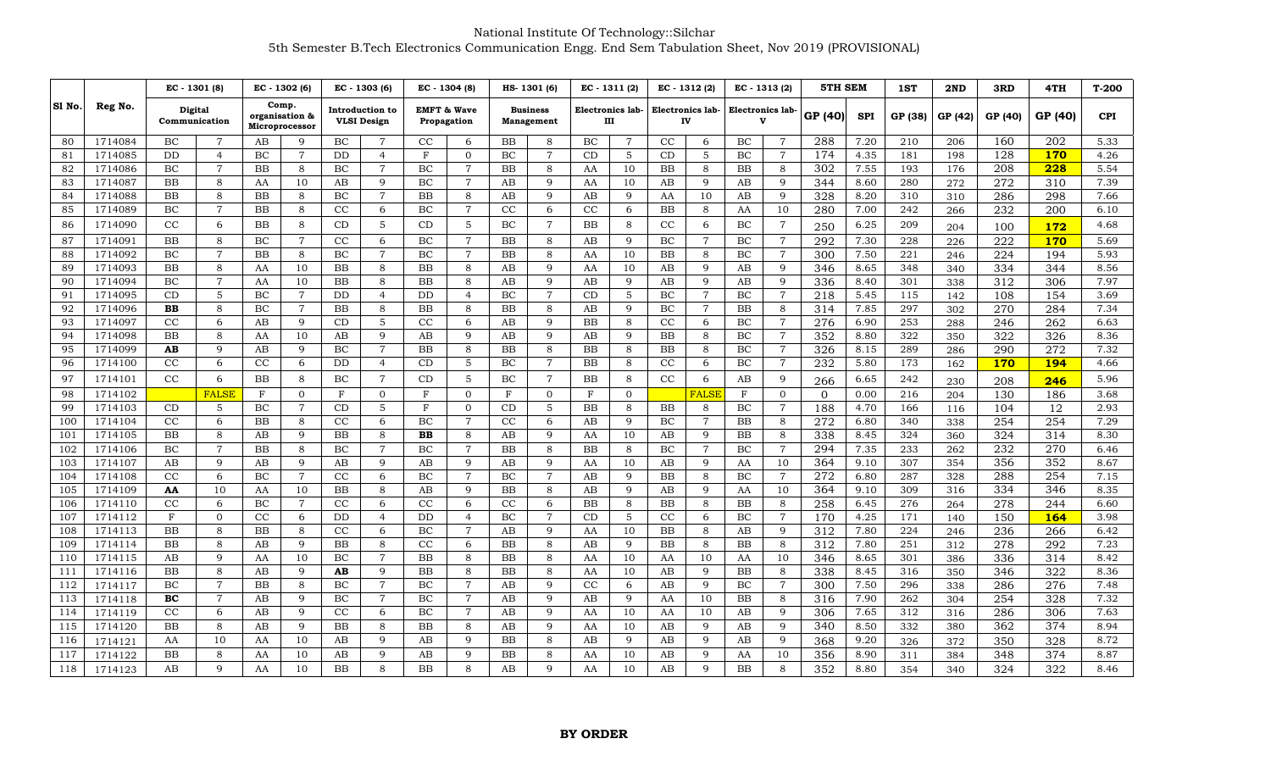|        |         | EC - 1301 (8)            |                | EC - 1302 (6)<br>Comp.<br>organisation &<br>Microprocessor |                | EC - 1303 (6)<br>Introduction to<br><b>VLSI Design</b> |                |                                       | EC - 1304 (8)  |           | HS-1301 (6)                   | $EC - 1311(2)$ |                       |           | EC - 1312 (2)          | $EC - 1313(2)$   |                | <b>5TH SEM</b>   |            | 1ST     | 2ND     | 3RD              | 4TH              | $T-200$    |
|--------|---------|--------------------------|----------------|------------------------------------------------------------|----------------|--------------------------------------------------------|----------------|---------------------------------------|----------------|-----------|-------------------------------|----------------|-----------------------|-----------|------------------------|------------------|----------------|------------------|------------|---------|---------|------------------|------------------|------------|
| S1 No. | Reg No. | Digital<br>Communication |                |                                                            |                |                                                        |                | <b>EMFT &amp; Wave</b><br>Propagation |                |           | <b>Business</b><br>Management |                | Electronics lab-<br>Ш |           | Electronics lab-<br>IV | Electronics lab- |                | GP (40)          | <b>SPI</b> | GP (38) | GP (42) | GP (40)          | GP (40)          | <b>CPI</b> |
| 80     | 1714084 | BC                       | $\overline{7}$ | AB                                                         | 9              | BC                                                     | 7              | CC                                    | 6              | BB        | 8                             | BC             | $\overline{7}$        | CC        | 6                      | BC               | $\overline{7}$ | 288              | 7.20       | 210     | 206     | 160              | 202              | 5.33       |
| 81     | 1714085 | <b>DD</b>                | $\overline{4}$ | BC                                                         | $\overline{7}$ | DD                                                     | $\overline{4}$ | $\mathbf F$                           | $\overline{0}$ | BC        | $\overline{7}$                | CD             | 5                     | CD        | 5                      | BC               | 7              | 174              | 4.35       | 181     | 198     | 128              | 170              | 4.26       |
| 82     | 1714086 | BC                       | $\overline{7}$ | <b>BB</b>                                                  | 8              | BC                                                     | $\overline{7}$ | BС                                    | $\overline{7}$ | <b>BB</b> | 8                             | AA             | 10                    | <b>BB</b> | 8                      | BB               | 8              | 302              | 7.55       | 193     | 176     | 208              | 228              | 5.54       |
| 83     | 1714087 | <b>BB</b>                | 8              | AA                                                         | 10             | AB                                                     | 9              | <b>BC</b>                             | $\overline{7}$ | AB        | 9                             | AA             | 10                    | AB        | 9                      | AB               | 9              | 344              | 8.60       | 280     | 272     | 272              | 310              | 7.39       |
| 84     | 1714088 | BB                       | 8              | BB                                                         | 8              | BC                                                     | $\overline{7}$ | ВB                                    | 8              | AB        | 9                             | AB             | 9                     | AA        | 10                     | AB               | 9              | 328              | 8.20       | 310     | 310     | 286              | 298              | 7.66       |
| 85     | 1714089 | BC                       | $\overline{7}$ | <b>BB</b>                                                  | $\mathsf{R}$   | CC                                                     | 6              | BC                                    | $\overline{7}$ | CC        | 6                             | CC             | 6                     | <b>BB</b> | 8                      | AA               | 10             | 280              | 7.00       | 242     | 266     | 232              | 200              | 6.10       |
| 86     | 1714090 | CC                       | 6              | <b>BB</b>                                                  | 8              | CD                                                     | 5              | CD                                    | 5              | BC        | $\overline{7}$                | <b>BB</b>      | 8                     | CC        | 6                      | BC               | $\overline{7}$ | 250              | 6.25       | 209     | 204     | 100              | 172              | 4.68       |
| 87     | 1714091 | <b>BB</b>                | 8              | BC                                                         | $\overline{7}$ | CC                                                     | 6              | BС                                    | $\overline{7}$ | <b>BB</b> | 8                             | AB             | $\mathbf Q$           | BC        | $\overline{7}$         | BC               | $\overline{7}$ | 292              | 7.30       | 228     | 226     | 222              | 170              | 5.69       |
| 88     | 1714092 | BC                       | $\overline{7}$ | BB                                                         | 8              | BC                                                     | $\overline{7}$ | ВC                                    | $\overline{7}$ | BB        | 8                             | AA             | 10                    | BB        | 8                      | BC               | $\overline{7}$ | 300              | 7.50       | 221     | 246     | 224              | 194              | 5.93       |
| 89     | 1714093 | <b>BB</b>                | 8              | AA                                                         | 10             | <b>BB</b>                                              | 8              | ΒB                                    | 8              | AB        | 9                             | AA             | 10                    | AB        | 9                      | AB               | 9              | 346              | 8.65       | 348     | 340     | 334              | 344              | 8.56       |
| 90     | 1714094 | BC                       | $\overline{7}$ | AA                                                         | 10             | <b>BB</b>                                              | 8              | ΒB                                    | 8              | AB        | 9                             | AB             | 9                     | AB        | 9                      | AB               | 9              | 336              | 8.40       | 301     | 338     | 312              | 306              | 7.97       |
| 91     | 1714095 | CD                       | 5              | BC                                                         | $\overline{7}$ | DD                                                     | $\overline{4}$ | DD                                    | $\overline{4}$ | BC        | $\overline{7}$                | CD             | 5                     | BC        | $\overline{7}$         | BC               | $\overline{7}$ | 218              | 5.45       | 115     | 142     | 108              | 154              | 3.69       |
| 92     | 1714096 | BB                       | 8              | BC                                                         | $\overline{7}$ | BB                                                     | 8              | BB                                    | 8              | <b>BB</b> | 8                             | AB             | 9                     | BC        | $\overline{7}$         | BB               | 8              | 314              | 7.85       | 297     | 302     | 270              | 284              | 7.34       |
| 93     | 1714097 | CC                       | 6              | AB                                                         | 9              | CD                                                     | 5              | CC                                    | 6              | AB        | 9                             | <b>BB</b>      | 8                     | CC        | 6                      | BC               | $\overline{7}$ | 276              | 6.90       | 253     | 288     | 246              | 262              | 6.63       |
| 94     | 1714098 | <b>BB</b>                | 8              | AA                                                         | 10             | AB                                                     | 9              | AB                                    | 9              | AB        | 9                             | AB             | 9                     | BB        | 8                      | BC               | 7              | 352              | 8.80       | 322     | 350     | 322              | 326              | 8.36       |
| 95     | 1714099 | AB                       | 9              | AB                                                         | 9              | BC                                                     | $\overline{7}$ | BB                                    | 8              | <b>BB</b> | 8                             | BB             | 8                     | BB        | 8                      | BC               | 7              | 326              | 8.15       | 289     | 286     | 290              | 272              | 7.32       |
| 96     | 1714100 | CC                       | 6              | CC                                                         | 6              | <b>DD</b>                                              | $\overline{4}$ | CD                                    | 5              | BC        | $\overline{7}$                | <b>BB</b>      | 8                     | CC        | 6                      | BC               | $\overline{7}$ | 232              | 5.80       | 173     | 162     | <b>170</b>       | 194              | 4.66       |
| 97     | 1714101 | CC                       | 6              | <b>BB</b>                                                  | 8              | BC                                                     | $\overline{7}$ | CD                                    | 5              | BC        | $\overline{7}$                | <b>BB</b>      | 8                     | CC        | 6                      | AB               | 9              | 266              | 6.65       | 242     | 230     | 208              | 246              | 5.96       |
| 98     | 1714102 |                          | <b>FALSE</b>   | F                                                          | $\Omega$       | F                                                      | $\Omega$       | F                                     | $\Omega$       | F         | $\overline{0}$                | F              | $\overline{0}$        |           | <b>FALSI</b>           | F                | $\mathbf{0}$   | $\Omega$         | 0.00       | 216     | 204     | 130              | 186              | 3.68       |
| 99     | 1714103 | CD                       | 5              | BC                                                         | 7              | CD                                                     | 5              | ${\rm F}$                             | $\Omega$       | CD        | 5                             | <b>BB</b>      | 8                     | <b>BB</b> | 8                      | BC               | $\overline{7}$ | 188              | 4.70       | 166     | 116     | 104              | 12               | 2.93       |
| 100    | 1714104 | CC                       | 6              | BB                                                         | 8              | CC                                                     | 6              | BC                                    | 7              | CC        | 6                             | AB             | 9                     | BC        | $\overline{7}$         | BB               | 8              | 272              | 6.80       | 340     | 338     | 254              | 254              | 7.29       |
| 101    | 1714105 | <b>BB</b>                | 8              | AB                                                         | 9              | BB                                                     | 8              | $\bf BB$                              | 8              | AB        | 9                             | AA             | 10                    | AB        | 9                      | BB               | 8              | 338              | 8.45       | 324     | 360     | 324              | 314              | 8.30       |
| 102    | 1714106 | BC                       | 7              | BB                                                         | 8              | BC                                                     | $\overline{7}$ | BС                                    | $\overline{7}$ | <b>BB</b> | 8                             | BB             | 8                     | BC        | $\overline{7}$         | BC               | 7              | 294              | 7.35       | 233     | 262     | 232              | 270              | 6.46       |
| 103    | 1714107 | AB                       | $\mathbf Q$    | AΒ                                                         | $\mathbf Q$    | AB                                                     | $\mathbf Q$    | AB                                    | 9              | AB        | 9                             | AA             | 10                    | AB        | 9                      | AA               | 10             | 364              | 9.10       | 307     | 354     | 356              | 352              | 8.67       |
| 104    | 1714108 | CC                       | 6              | BC                                                         | $\overline{7}$ | CC                                                     | 6              | BC                                    | $\overline{7}$ | BC        | $\overline{7}$                | AB             | 9                     | <b>BB</b> | 8                      | BC               | $\overline{7}$ | 272              | 6.80       | 287     | 328     | 288              | 254              | 7.15       |
| 105    | 1714109 | AA                       | 10             | AA                                                         | 10             | BB                                                     | 8              | AB                                    | 9              | <b>BB</b> | 8                             | AB             | 9                     | AB        | 9                      | AA               | 10             | 364              | 9.10       | 309     | 316     | 334              | 346              | 8.35       |
| 106    | 1714110 | CC                       | 6              | BC                                                         | $\overline{7}$ | $_{\rm CC}$                                            | 6              | $_{\rm CC}$                           | 6              | CC        | 6                             | <b>BB</b>      | 8                     | BB        | 8                      | BB               | 8              | $\overline{258}$ | 6.45       | 276     | 264     | $\overline{278}$ | $\overline{244}$ | 6.60       |
| 107    | 1714112 | F                        | $\Omega$       | CC                                                         | 6              | DD                                                     | $\overline{4}$ | DD                                    | $\overline{4}$ | BC        | $\overline{7}$                | CD             | 5                     | CC        | 6                      | BC               | $\overline{7}$ | 170              | 4.25       | 171     | 140     | 150              | 164              | 3.98       |
| 108    | 1714113 | <b>BB</b>                | 8              | <b>BB</b>                                                  | 8              | CC                                                     | 6              | BC                                    | $\overline{7}$ | AB        | 9                             | AA             | 10                    | BB        | 8                      | AB               | 9              | 312              | 7.80       | 224     | 246     | 236              | 266              | 6.42       |
| 109    | 1714114 | BB                       | 8              | AB                                                         | 9              | BB                                                     | 8              | $_{\rm CC}$                           | 6              | BB        | 8                             | AB             | 9                     | BB        | 8                      | BB               | 8              | 312              | 7.80       | 251     | 312     | 278              | 292              | 7.23       |
| 110    | 1714115 | AB                       | $\mathbf{Q}$   | AA                                                         | 10             | BC                                                     | $\overline{7}$ | $_{\rm BB}$                           | 8              | <b>BB</b> | 8                             | AA             | 10                    | AA        | 10                     | AA               | 10             | 346              | 8.65       | 301     | 386     | 336              | 314              | 8.42       |
| 111    | 1714116 | <b>BB</b>                | 8              | AB                                                         | 9              | AB                                                     | 9              | ВB                                    | 8              | <b>BB</b> | 8                             | AA             | 10                    | AB        | 9                      | BB               | 8              | 338              | 8.45       | 316     | 350     | 346              | 322              | 8.36       |
| 112    | 1714117 | BC                       | $\overline{7}$ | <b>BB</b>                                                  | 8              | ВC                                                     | $\overline{7}$ | BС                                    | 7              | AB        | q                             | CC             | 6                     | AB        | 9                      | BC               | 7              | 300              | 7.50       | 296     | 338     | 286              | 276              | 7.48       |
| 113    | 1714118 | BC                       | $\overline{7}$ | AB                                                         | 9              | BC                                                     | $\overline{7}$ | BC                                    | $\overline{7}$ | AB        | 9                             | AB             | 9                     | AA        | 10                     | <b>BB</b>        | 8              | 316              | 7.90       | 262     | 304     | 254              | 328              | 7.32       |
| 114    | 1714119 | CC                       | 6              | AB                                                         | 9              | CC                                                     | 6              | BC                                    | $\overline{7}$ | AB        | 9                             | AA             | 10                    | AA        | 10                     | AB               | 9              | 306              | 7.65       | 312     | 316     | 286              | 306              | 7.63       |
| 115    | 1714120 | BB                       | 8              | AB                                                         | 9              | BB                                                     | 8              | ΒB                                    | 8              | AB        | 9                             | AA             | 10                    | AB        | 9                      | AB               | 9              | 340              | 8.50       | 332     | 380     | 362              | 374              | 8.94       |
| 116    | 1714121 | AA                       | 10             | AA                                                         | 10             | AВ                                                     | 9              | AB                                    | 9              | <b>BB</b> | 8                             | AB             | 9                     | AB        | 9                      | AB               | 9              | 368              | 9.20       | 326     | 372     | 350              | 328              | 8.72       |
| 117    | 1714122 | <b>BB</b>                | 8              | AA                                                         | 10             | AВ                                                     | 9              | AB                                    | 9              | <b>BB</b> | 8                             | AA             | 10                    | AB        | 9                      | AA               | 10             | 356              | 8.90       | 311     | 384     | 348              | 374              | 8.87       |
| 118    | 1714123 | AB                       | 9              | AA                                                         | 10             | BB                                                     | 8              | BΒ                                    | 8              | AB        | 9                             | AA             | 10                    | AB        | $\mathbf Q$            | <b>BB</b>        | 8              | 352              | 8.80       | 354     | 340     | 324              | 322              | 8.46       |